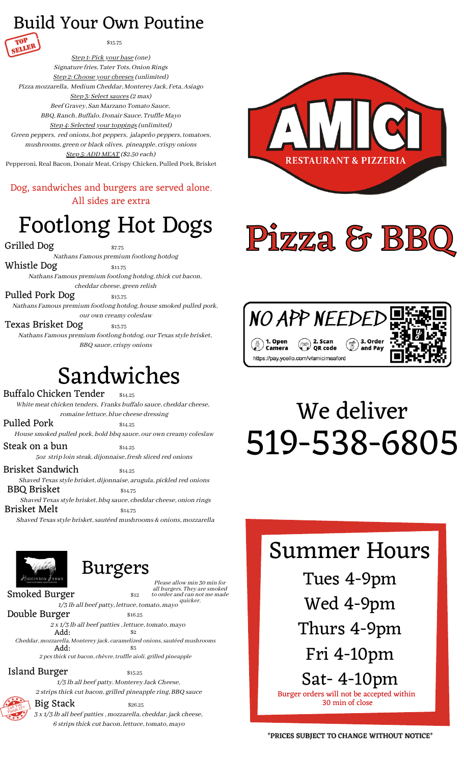#### Build Your Own Poutine



\$15.75

Step 1: Pick your base (one) Signature fries, Tater Tots, Onion Rings Step 2: Choose your cheeses (unlimited) Pizza mozzarella, Medium Cheddar, Monterey Jack, Feta, Asiago Step 3: Select sauces (2 max) Beef Gravey, San Marzano Tomato Sauce, BBQ, Ranch, Buffalo, Donair Sauce, Truffle Mayo Step 4: Selected your toppings (unlimited) Green peppers, red onions, hot peppers, jalapeño peppers, tomatoes, mushrooms, green or black olives, pineapple, crispy onions Step 5: ADD MEAT (\$2.50 each) Pepperoni, Real Bacon, Donair Meat, Crispy Chicken, Pulled Pork, Brisket

Dog, sandwiches and burgers are served alone. All sides are extra

## Footlong Hot Dogs

Grilled Dog \$7.75

Nathans Famous premium footlong hotdog

Whistle  $\log$   $\frac{1}{311.75}$ Nathans Famous premium footlong hotdog, thick cut bacon,

cheddar cheese, green relish Pulled Pork Dog \$13.75

Nathans Famous premium footlong hotdog, house smoked pulled pork, our own creamy coleslaw

Texas Brisket Dog  $_{\rm s_{15.75}}$ Nathans Famous premium footlong hotdog, our Texas style brisket, BBQ sauce, crispy onions

## Sandwiches

Buffalo Chicken Tender White meat chicken tenders, Franks buffalo sauce, cheddar cheese,

romaine lettuce, blue cheese dressing Pulled Pork  $$^{314.25}$ 

House smoked pulled pork, bold bbq sauce, our own creamy coleslaw

Steak on a bun  $$^{34.25}$ 5oz strip loin steak, dijonnaise, fresh sliced red onions

Brisket Sandwich  $$^{314.25}$$ 

Shaved Texas style brisket, dijonnaise, arugula, pickled red onions BBQ Brisket  $$34.75$ 

Shaved Texas style brisket, bbq sauce, cheddar cheese, onion rings Brisket Melt  $$^{314.75}$ 

Shaved Texas style brisket, sautéed mushrooms & onions, mozzarella



#### Burgers

Please allow min 30 min for all burgers. They are smoked to order and can not me made quicker.

 $S$ moked Burger  $\begin{array}{ccc} \text{312}\end{array}$ 

1/3 lb all beef patty, lettuce, tomato, mayo Double Burger \$16.25

 $\text{Add:}$   $\text{ }$   $\text{*}2$ Cheddar, mozzarella, Monterey jack, caramelized onions, sautéed mushrooms  $2 \times 1/3$  lb all beef patties, lettuce, tomato, mayo  $Add:$ 

 $\text{Add:}$   $\text{\$3}$ 2 pcs thick cut bacon, chèvre, truffle aioli, grilled pineapple

Island Burger \$15.25

1/3 lb all beef patty. Monterey Jack Cheese, 2 strips thick cut bacon, grilled pineapple ring, BBQ sauce

Can You<sub>?</sub> Finish IT?



 $Big$  Stack  $$26.25$ 3 x 1/3 lb all beef patties, mozzarella, cheddar, jack cheese, 6 stripsthick cut bacon, lettuce, tomato, mayo



# Pizza & BB



# 519-538-6805 We deliver

#### Summer Hours

Tues 4-9pm Wed 4-9pm Thurs 4-9pm Fri 4-10pm

Sat- 4-10pm Burger orders will not be accepted within 30 min of close